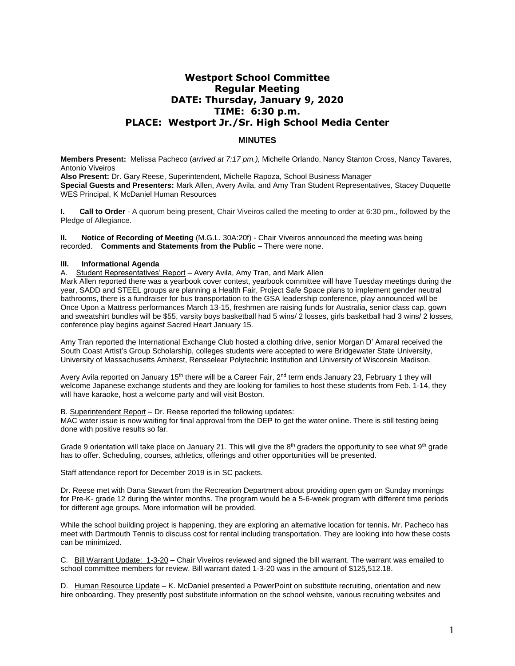# **Westport School Committee Regular Meeting DATE: Thursday, January 9, 2020 TIME: 6:30 p.m. PLACE: Westport Jr./Sr. High School Media Center**

# **MINUTES**

**Members Present:** Melissa Pacheco (*arrived at 7:17 pm.),* Michelle Orlando, Nancy Stanton Cross, Nancy Tavares*,*  Antonio Viveiros

**Also Present:** Dr. Gary Reese, Superintendent, Michelle Rapoza, School Business Manager **Special Guests and Presenters:** Mark Allen, Avery Avila, and Amy Tran Student Representatives, Stacey Duquette WES Principal, K McDaniel Human Resources

**I. Call to Order** - A quorum being present, Chair Viveiros called the meeting to order at 6:30 pm., followed by the Pledge of Allegiance.

**II. Notice of Recording of Meeting** (M.G.L. 30A:20f) - Chair Viveiros announced the meeting was being recorded. **Comments and Statements from the Public –** There were none.

#### **III. Informational Agenda**

A. Student Representatives' Report - Avery Avila, Amy Tran, and Mark Allen

Mark Allen reported there was a yearbook cover contest, yearbook committee will have Tuesday meetings during the year, SADD and STEEL groups are planning a Health Fair, Project Safe Space plans to implement gender neutral bathrooms, there is a fundraiser for bus transportation to the GSA leadership conference, play announced will be Once Upon a Mattress performances March 13-15, freshmen are raising funds for Australia, senior class cap, gown and sweatshirt bundles will be \$55, varsity boys basketball had 5 wins/ 2 losses, girls basketball had 3 wins/ 2 losses, conference play begins against Sacred Heart January 15.

Amy Tran reported the International Exchange Club hosted a clothing drive, senior Morgan D' Amaral received the South Coast Artist's Group Scholarship, colleges students were accepted to were Bridgewater State University, University of Massachusetts Amherst, Rensselear Polytechnic Institution and University of Wisconsin Madison.

Avery Avila reported on January 15<sup>th</sup> there will be a Career Fair, 2<sup>nd</sup> term ends January 23, February 1 they will welcome Japanese exchange students and they are looking for families to host these students from Feb. 1-14, they will have karaoke, host a welcome party and will visit Boston.

#### B. Superintendent Report – Dr. Reese reported the following updates:

MAC water issue is now waiting for final approval from the DEP to get the water online. There is still testing being done with positive results so far.

Grade 9 orientation will take place on January 21. This will give the  $8<sup>th</sup>$  graders the opportunity to see what  $9<sup>th</sup>$  grade has to offer. Scheduling, courses, athletics, offerings and other opportunities will be presented.

Staff attendance report for December 2019 is in SC packets.

Dr. Reese met with Dana Stewart from the Recreation Department about providing open gym on Sunday mornings for Pre-K- grade 12 during the winter months. The program would be a 5-6-week program with different time periods for different age groups. More information will be provided.

While the school building project is happening, they are exploring an alternative location for tennis**.** Mr. Pacheco has meet with Dartmouth Tennis to discuss cost for rental including transportation. They are looking into how these costs can be minimized.

C. Bill Warrant Update: 1-3-20 – Chair Viveiros reviewed and signed the bill warrant. The warrant was emailed to school committee members for review. Bill warrant dated 1-3-20 was in the amount of \$125,512.18.

D. Human Resource Update – K. McDaniel presented a PowerPoint on substitute recruiting, orientation and new hire onboarding. They presently post substitute information on the school website, various recruiting websites and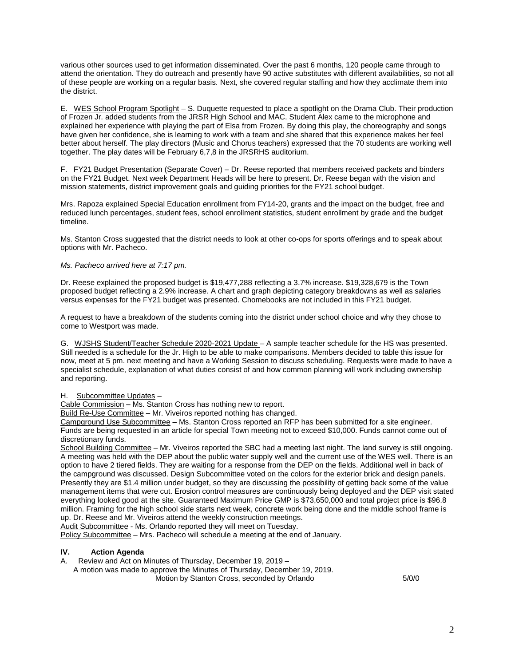various other sources used to get information disseminated. Over the past 6 months, 120 people came through to attend the orientation. They do outreach and presently have 90 active substitutes with different availabilities, so not all of these people are working on a regular basis. Next, she covered regular staffing and how they acclimate them into the district.

E. WES School Program Spotlight – S. Duquette requested to place a spotlight on the Drama Club. Their production of Frozen Jr. added students from the JRSR High School and MAC. Student Alex came to the microphone and explained her experience with playing the part of Elsa from Frozen. By doing this play, the choreography and songs have given her confidence, she is learning to work with a team and she shared that this experience makes her feel better about herself. The play directors (Music and Chorus teachers) expressed that the 70 students are working well together. The play dates will be February 6,7,8 in the JRSRHS auditorium.

F. FY21 Budget Presentation (Separate Cover) – Dr. Reese reported that members received packets and binders on the FY21 Budget. Next week Department Heads will be here to present. Dr. Reese began with the vision and mission statements, district improvement goals and guiding priorities for the FY21 school budget.

Mrs. Rapoza explained Special Education enrollment from FY14-20, grants and the impact on the budget, free and reduced lunch percentages, student fees, school enrollment statistics, student enrollment by grade and the budget timeline.

Ms. Stanton Cross suggested that the district needs to look at other co-ops for sports offerings and to speak about options with Mr. Pacheco.

### *Ms. Pacheco arrived here at 7:17 pm.*

Dr. Reese explained the proposed budget is \$19,477,288 reflecting a 3.7% increase. \$19,328,679 is the Town proposed budget reflecting a 2.9% increase. A chart and graph depicting category breakdowns as well as salaries versus expenses for the FY21 budget was presented. Chomebooks are not included in this FY21 budget.

A request to have a breakdown of the students coming into the district under school choice and why they chose to come to Westport was made.

G. WJSHS Student/Teacher Schedule 2020-2021 Update – A sample teacher schedule for the HS was presented. Still needed is a schedule for the Jr. High to be able to make comparisons. Members decided to table this issue for now, meet at 5 pm. next meeting and have a Working Session to discuss scheduling. Requests were made to have a specialist schedule, explanation of what duties consist of and how common planning will work including ownership and reporting.

#### H. Subcommittee Updates –

Cable Commission – Ms. Stanton Cross has nothing new to report.

Build Re-Use Committee – Mr. Viveiros reported nothing has changed.

Campground Use Subcommittee – Ms. Stanton Cross reported an RFP has been submitted for a site engineer. Funds are being requested in an article for special Town meeting not to exceed \$10,000. Funds cannot come out of discretionary funds.

School Building Committee – Mr. Viveiros reported the SBC had a meeting last night. The land survey is still ongoing. A meeting was held with the DEP about the public water supply well and the current use of the WES well. There is an option to have 2 tiered fields. They are waiting for a response from the DEP on the fields. Additional well in back of the campground was discussed. Design Subcommittee voted on the colors for the exterior brick and design panels. Presently they are \$1.4 million under budget, so they are discussing the possibility of getting back some of the value management items that were cut. Erosion control measures are continuously being deployed and the DEP visit stated everything looked good at the site. Guaranteed Maximum Price GMP is \$73,650,000 and total project price is \$96.8 million. Framing for the high school side starts next week, concrete work being done and the middle school frame is up. Dr. Reese and Mr. Viveiros attend the weekly construction meetings.

Audit Subcommittee - Ms. Orlando reported they will meet on Tuesday.

Policy Subcommittee – Mrs. Pacheco will schedule a meeting at the end of January.

## **IV. Action Agenda**

A. Review and Act on Minutes of Thursday, December 19, 2019 – A motion was made to approve the Minutes of Thursday, December 19, 2019. Motion by Stanton Cross, seconded by Orlando 5/0/0